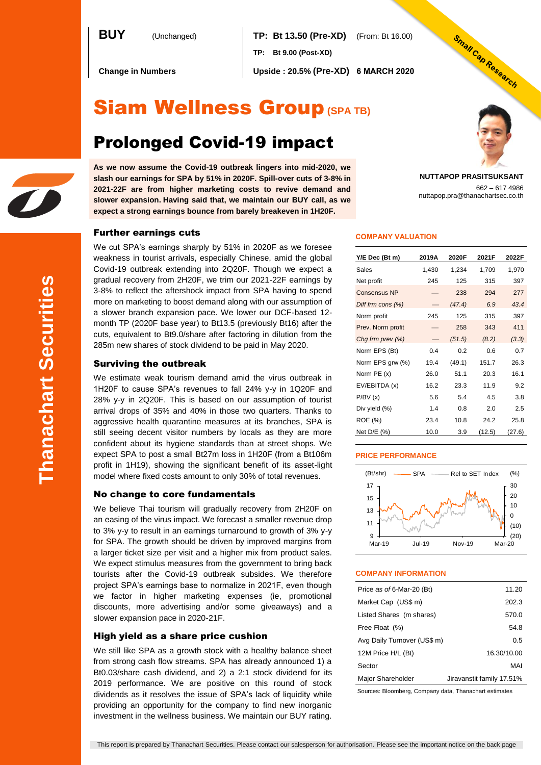**BUY** (Unchanged) **TP: Bt 13.50 (Pre-XD)** (From: Bt 16.00) **TP: Bt 9.00 (Post-XD)**

**Change in Numbers Upside : 20.5% (Pre-XD) 6 MARCH 2020**

# Siam Wellness Group**(SPA TB)**

# Prolonged Covid-19 impact

**As we now assume the Covid-19 outbreak lingers into mid-2020, we slash our earnings for SPA by 51% in 2020F. Spill-over cuts of 3-8% in 2021-22F are from higher marketing costs to revive demand and slower expansion. Having said that, we maintain our BUY call, as we expect a strong earnings bounce from barely breakeven in 1H20F.**

### Further earnings cuts

We cut SPA's earnings sharply by 51% in 2020F as we foresee weakness in tourist arrivals, especially Chinese, amid the global Covid-19 outbreak extending into 2Q20F. Though we expect a gradual recovery from 2H20F, we trim our 2021-22F earnings by 3-8% to reflect the aftershock impact from SPA having to spend more on marketing to boost demand along with our assumption of a slower branch expansion pace. We lower our DCF-based 12 month TP (2020F base year) to Bt13.5 (previously Bt16) after the cuts, equivalent to Bt9.0/share after factoring in dilution from the 285m new shares of stock dividend to be paid in May 2020.

### Surviving the outbreak

We estimate weak tourism demand amid the virus outbreak in 1H20F to cause SPA's revenues to fall 24% y-y in 1Q20F and 28% y-y in 2Q20F. This is based on our assumption of tourist arrival drops of 35% and 40% in those two quarters. Thanks to aggressive health quarantine measures at its branches, SPA is still seeing decent visitor numbers by locals as they are more confident about its hygiene standards than at street shops. We expect SPA to post a small Bt27m loss in 1H20F (from a Bt106m profit in 1H19), showing the significant benefit of its asset-light model where fixed costs amount to only 30% of total revenues.

### No change to core fundamentals

We believe Thai tourism will gradually recovery from 2H20F on an easing of the virus impact. We forecast a smaller revenue drop to 3% y-y to result in an earnings turnaround to growth of 3% y-y for SPA. The growth should be driven by improved margins from a larger ticket size per visit and a higher mix from product sales. We expect stimulus measures from the government to bring back tourists after the Covid-19 outbreak subsides. We therefore project SPA's earnings base to normalize in 2021F, even though we factor in higher marketing expenses (ie, promotional discounts, more advertising and/or some giveaways) and a slower expansion pace in 2020-21F.

### High yield as a share price cushion

We still like SPA as a growth stock with a healthy balance sheet from strong cash flow streams. SPA has already announced 1) a Bt0.03/share cash dividend, and 2) a 2:1 stock dividend for its 2019 performance. We are positive on this round of stock dividends as it resolves the issue of SPA's lack of liquidity while providing an opportunity for the company to find new inorganic investment in the wellness business. We maintain our BUY rating.

### **COMPANY VALUATION**

| Y/E Dec (Bt m)      | 2019A | 2020F  | 2021F  | 2022F  |
|---------------------|-------|--------|--------|--------|
| Sales               | 1,430 | 1,234  | 1,709  | 1,970  |
| Net profit          | 245   | 125    | 315    | 397    |
| <b>Consensus NP</b> |       | 238    | 294    | 277    |
| Diff frm cons (%)   |       | (47.4) | 6.9    | 43.4   |
| Norm profit         | 245   | 125    | 315    | 397    |
| Prev. Norm profit   |       | 258    | 343    | 411    |
| Chg frm prev $(\%)$ |       | (51.5) | (8.2)  | (3.3)  |
| Norm EPS (Bt)       | 0.4   | 0.2    | 0.6    | 0.7    |
| Norm EPS grw (%)    | 19.4  | (49.1) | 151.7  | 26.3   |
| Norm PE (x)         | 26.0  | 51.1   | 20.3   | 16.1   |
| EV/EBITDA (x)       | 16.2  | 23.3   | 11.9   | 9.2    |
| P/BV(x)             | 5.6   | 5.4    | 4.5    | 3.8    |
| Div yield (%)       | 1.4   | 0.8    | 2.0    | 2.5    |
| ROE (%)             | 23.4  | 10.8   | 24.2   | 25.8   |
| Net D/E (%)         | 10.0  | 3.9    | (12.5) | (27.6) |

### **PRICE PERFORMANCE**



### **COMPANY INFORMATION**

| Price as of 6-Mar-20 (Bt)   | 11.20                     |
|-----------------------------|---------------------------|
| Market Cap (US\$ m)         | 202.3                     |
| Listed Shares (m shares)    | 570.0                     |
| Free Float (%)              | 54.8                      |
| Avg Daily Turnover (US\$ m) | 0.5                       |
| 12M Price H/L (Bt)          | 16.30/10.00               |
| Sector                      | MAI                       |
| Major Shareholder           | Jiravanstit family 17.51% |

Sources: Bloomberg, Company data, Thanachart estimates

This report is prepared by Thanachart Securities. Please contact our salesperson for authorisation. Please see the important notice on the back page



662 – 617 4986

**NUTTAPOP PRASITSUKSANT**

nuttapop.pra@thanachartsec.co.th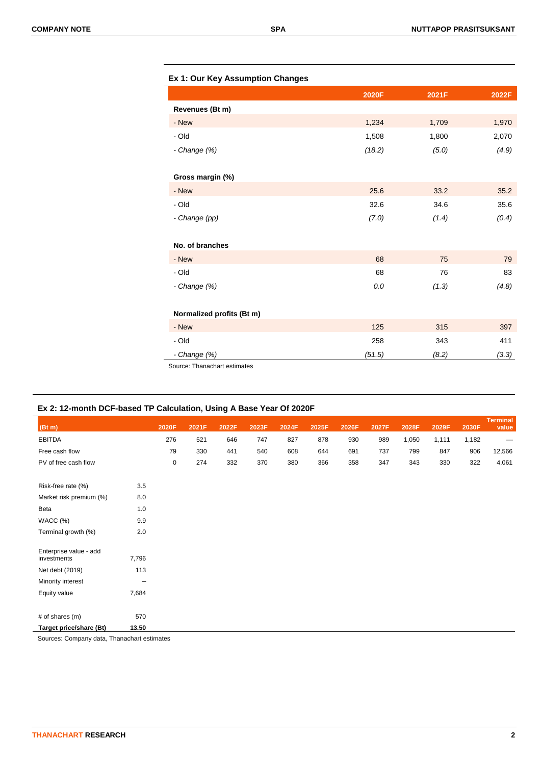|                           | 2020F  | 2021F | 2022F |
|---------------------------|--------|-------|-------|
| Revenues (Bt m)           |        |       |       |
| - New                     | 1,234  | 1,709 | 1,970 |
| - Old                     | 1,508  | 1,800 | 2,070 |
| - Change (%)              | (18.2) | (5.0) | (4.9) |
| Gross margin (%)          |        |       |       |
| - New                     | 25.6   | 33.2  | 35.2  |
| - Old                     | 32.6   | 34.6  | 35.6  |
| - Change (pp)             | (7.0)  | (1.4) | (0.4) |
| No. of branches           |        |       |       |
| - New                     | 68     | 75    | 79    |
| - Old                     | 68     | 76    | 83    |
| - Change (%)              | 0.0    | (1.3) | (4.8) |
| Normalized profits (Bt m) |        |       |       |
| - New                     | 125    | 315   | 397   |
| $-$ Old                   | 258    | 343   | 411   |
| - Change (%)              | (51.5) | (8.2) | (3.3) |

Source: Thanachart estimates

### **Ex 2: 12-month DCF-based TP Calculation, Using A Base Year Of 2020F**

| (Bt m)                                |       | 2020F       | 2021F | 2022F | 2023F | 2024F | 2025F | 2026F | 2027F | 2028F | 2029F | 2030F | <b>Terminal</b><br>value |
|---------------------------------------|-------|-------------|-------|-------|-------|-------|-------|-------|-------|-------|-------|-------|--------------------------|
| <b>EBITDA</b>                         |       | 276         | 521   | 646   | 747   | 827   | 878   | 930   | 989   | 1,050 | 1,111 | 1,182 | -                        |
| Free cash flow                        |       | 79          | 330   | 441   | 540   | 608   | 644   | 691   | 737   | 799   | 847   | 906   | 12,566                   |
| PV of free cash flow                  |       | $\mathbf 0$ | 274   | 332   | 370   | 380   | 366   | 358   | 347   | 343   | 330   | 322   | 4,061                    |
| Risk-free rate (%)                    | 3.5   |             |       |       |       |       |       |       |       |       |       |       |                          |
| Market risk premium (%)               | 8.0   |             |       |       |       |       |       |       |       |       |       |       |                          |
| Beta                                  | 1.0   |             |       |       |       |       |       |       |       |       |       |       |                          |
| WACC (%)                              | 9.9   |             |       |       |       |       |       |       |       |       |       |       |                          |
| Terminal growth (%)                   | 2.0   |             |       |       |       |       |       |       |       |       |       |       |                          |
| Enterprise value - add<br>investments | 7,796 |             |       |       |       |       |       |       |       |       |       |       |                          |
| Net debt (2019)                       | 113   |             |       |       |       |       |       |       |       |       |       |       |                          |
| Minority interest                     | -     |             |       |       |       |       |       |       |       |       |       |       |                          |
| Equity value                          | 7,684 |             |       |       |       |       |       |       |       |       |       |       |                          |
| # of shares (m)                       | 570   |             |       |       |       |       |       |       |       |       |       |       |                          |
| Target price/share (Bt)               | 13.50 |             |       |       |       |       |       |       |       |       |       |       |                          |

Sources: Company data, Thanachart estimates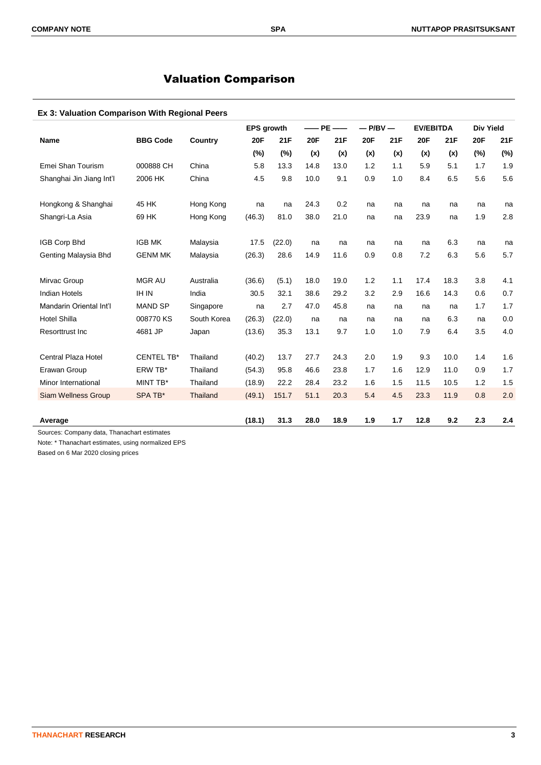## Valuation Comparison

### **Ex 3: Valuation Comparison With Regional Peers**

|                                                        |                   |             | <b>EPS growth</b> |        | $-$ PE $-$ |      | $-$ P/BV $-$ |     | <b>EV/EBITDA</b> |      | <b>Div Yield</b> |     |
|--------------------------------------------------------|-------------------|-------------|-------------------|--------|------------|------|--------------|-----|------------------|------|------------------|-----|
| <b>Name</b>                                            | <b>BBG Code</b>   | Country     | <b>20F</b>        | 21F    | <b>20F</b> | 21F  | <b>20F</b>   | 21F | <b>20F</b>       | 21F  | 20F              | 21F |
|                                                        |                   |             | $(\%)$            | $(\%)$ | (x)        | (x)  | (x)          | (x) | (x)              | (x)  | (%)              | (%) |
| Emei Shan Tourism                                      | 000888 CH         | China       | 5.8               | 13.3   | 14.8       | 13.0 | 1.2          | 1.1 | 5.9              | 5.1  | 1.7              | 1.9 |
| Shanghai Jin Jiang Int'l                               | 2006 HK           | China       | 4.5               | 9.8    | 10.0       | 9.1  | 0.9          | 1.0 | 8.4              | 6.5  | 5.6              | 5.6 |
| Hongkong & Shanghai                                    | 45 HK             | Hong Kong   | na                | na     | 24.3       | 0.2  | na           | na  | na               | na   | na               | na  |
| Shangri-La Asia                                        | 69 HK             | Hong Kong   | (46.3)            | 81.0   | 38.0       | 21.0 | na           | na  | 23.9             | na   | 1.9              | 2.8 |
| IGB Corp Bhd                                           | <b>IGB MK</b>     | Malaysia    | 17.5              | (22.0) | na         | na   | na           | na  | na               | 6.3  | na               | na  |
| Genting Malaysia Bhd                                   | <b>GENM MK</b>    | Malaysia    | (26.3)            | 28.6   | 14.9       | 11.6 | 0.9          | 0.8 | 7.2              | 6.3  | 5.6              | 5.7 |
| Mirvac Group                                           | <b>MGR AU</b>     | Australia   | (36.6)            | (5.1)  | 18.0       | 19.0 | 1.2          | 1.1 | 17.4             | 18.3 | 3.8              | 4.1 |
| <b>Indian Hotels</b>                                   | <b>IH IN</b>      | India       | 30.5              | 32.1   | 38.6       | 29.2 | 3.2          | 2.9 | 16.6             | 14.3 | 0.6              | 0.7 |
| Mandarin Oriental Int'l                                | <b>MAND SP</b>    | Singapore   | na                | 2.7    | 47.0       | 45.8 | na           | na  | na               | na   | 1.7              | 1.7 |
| <b>Hotel Shilla</b>                                    | 008770 KS         | South Korea | (26.3)            | (22.0) | na         | na   | na           | na  | na               | 6.3  | na               | 0.0 |
| Resorttrust Inc                                        | 4681 JP           | Japan       | (13.6)            | 35.3   | 13.1       | 9.7  | 1.0          | 1.0 | 7.9              | 6.4  | 3.5              | 4.0 |
| Central Plaza Hotel                                    | <b>CENTEL TB*</b> | Thailand    | (40.2)            | 13.7   | 27.7       | 24.3 | 2.0          | 1.9 | 9.3              | 10.0 | 1.4              | 1.6 |
| Erawan Group                                           | ERW TB*           | Thailand    | (54.3)            | 95.8   | 46.6       | 23.8 | 1.7          | 1.6 | 12.9             | 11.0 | 0.9              | 1.7 |
| Minor International                                    | MINT TB*          | Thailand    | (18.9)            | 22.2   | 28.4       | 23.2 | 1.6          | 1.5 | 11.5             | 10.5 | 1.2              | 1.5 |
| <b>Siam Wellness Group</b>                             | SPA TB*           | Thailand    | (49.1)            | 151.7  | 51.1       | 20.3 | 5.4          | 4.5 | 23.3             | 11.9 | 0.8              | 2.0 |
| Average<br>Sources: Company data, Thanachart estimates |                   |             | (18.1)            | 31.3   | 28.0       | 18.9 | 1.9          | 1.7 | 12.8             | 9.2  | 2.3              | 2.4 |

Note: \* Thanachart estimates, using normalized EPS

Based on 6 Mar 2020 closing prices

 $\overline{a}$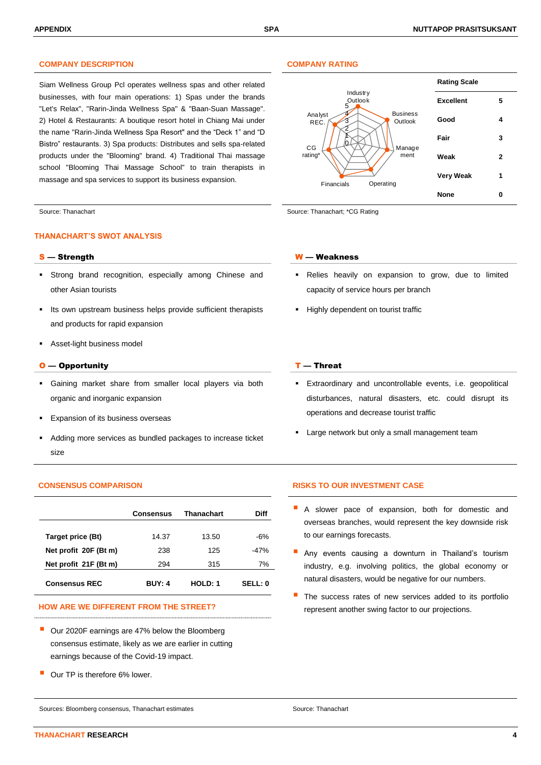### **COMPANY DESCRIPTION COMPANY RATING**

Siam Wellness Group Pcl operates wellness spas and other related businesses, with four main operations: 1) Spas under the brands "Let's Relax", "Rarin-Jinda Wellness Spa" & "Baan-Suan Massage". 2) Hotel & Restaurants: A boutique resort hotel in Chiang Mai under the name "Rarin-Jinda Wellness Spa Resort" and the "Deck 1" and "D Bistro" restaurants. 3) Spa products: Distributes and sells spa-related products under the "Blooming" brand. 4) Traditional Thai massage school "Blooming Thai Massage School" to train therapists in massage and spa services to support its business expansion.

### **THANACHART'S SWOT ANALYSIS**

- Strong brand recognition, especially among Chinese and other Asian tourists
- Its own upstream business helps provide sufficient therapists and products for rapid expansion
- Asset-light business model

### $O$  — Opportunity  $I$  — Threat

- Gaining market share from smaller local players via both organic and inorganic expansion
- Expansion of its business overseas
- Adding more services as bundled packages to increase ticket size

|                       | <b>Consensus</b> | <b>Thanachart</b> | Diff          |
|-----------------------|------------------|-------------------|---------------|
| Target price (Bt)     | 14.37            | 13.50             | -6%           |
| Net profit 20F (Bt m) | 238              | 125               | $-47%$        |
| Net profit 21F (Bt m) | 294              | 315               | 7%            |
| <b>Consensus REC</b>  | <b>BUY: 4</b>    | HOLD: 1           | <b>SELL:0</b> |

 Our 2020F earnings are 47% below the Bloomberg consensus estimate, likely as we are earlier in cutting earnings because of the Covid-19 impact.

Our TP is therefore 6% lower.

Sources: Bloomberg consensus, Thanachart estimates Source: Thanachart Source: Thanachart



Source: Thanachart Source: Thanachart Source: Thanachart; \*CG Rating

### S — Strength W — Weakness

- Relies heavily on expansion to grow, due to limited capacity of service hours per branch
- **Highly dependent on tourist traffic**

- Extraordinary and uncontrollable events, i.e. geopolitical disturbances, natural disasters, etc. could disrupt its operations and decrease tourist traffic
- Large network but only a small management team

### **CONSENSUS COMPARISON RISKS TO OUR INVESTMENT CASE**

- A slower pace of expansion, both for domestic and overseas branches, would represent the key downside risk to our earnings forecasts.
- Any events causing a downturn in Thailand's tourism industry, e.g. involving politics, the global economy or natural disasters, would be negative for our numbers.
- The success rates of new services added to its portfolio HOW ARE WE DIFFERENT FROM THE STREET? **Example 20 and 19 and 19 and 19 and 19 and 19 and 19 and 19 and 19 and 19 and 19 and 19 and 19 and 19 and 19 and 19 and 19 and 19 and 19 and 19 and 19 and 19 and 19 and 19 and 19 and**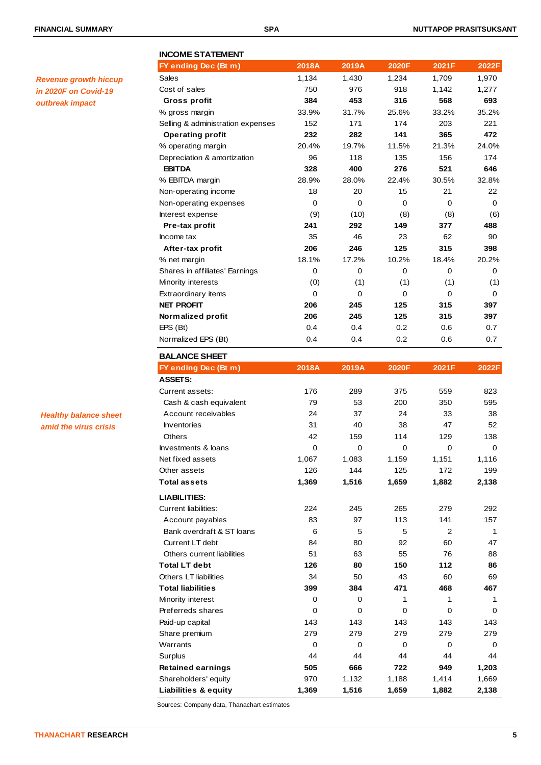*Revenue growth hiccup in 2020F on Covid-19 outbreak impact*

### **INCOME STATEMENT FY ending Dec (Bt m) 2018A 2019A 2020F 2021F 2022F** Sales 1,134 1,430 1,234 1,709 1,970 Cost of sales 750 976 918 1,142 1,277  **Gross profit 384 453 316 568 693** % gross margin 33.9% 31.7% 25.6% 33.2% 35.2% Selling & administration expenses 152 171 174 203 221  **Operating profit 232 282 141 365 472** % operating margin 20.4% 19.7% 11.5% 21.3% 24.0% Depreciation & amortization 96 118 135 156 174  **EBITDA 328 400 276 521 646** % EBITDA margin 28.9% 28.0% 22.4% 30.5% 32.8% Non-operating income 18 20 15 21 22 Non-operating expenses 0 0 0 0 0 Interest expense (9) (10) (8) (8) (6)  **Pre-tax profit 241 292 149 377 488** Income tax 35 46 23 62 90  **After-tax profit 206 246 125 315 398** % net margin 18.1% 17.2% 10.2% 18.4% 20.2% Shares in affiliates' Earnings  $\begin{array}{cccc} 0 & 0 & 0 & 0 \end{array}$ Minority interests (0) (1) (1) (1) (1) Extraordinary items  $\begin{array}{ccccccc} 0 & 0 & 0 & 0 & 0 \end{array}$ **NET PROFIT 206 245 125 315 397 Normalized profit 206 245 125 315 397** EPS (Bt) 0.4 0.4 0.2 0.6 0.7 Normalized EPS (Bt) 0.4 0.4 0.2 0.6 0.7 **BALANCE SHEET FY ending Dec (Bt m) 2018A 2019A 2020F 2021F 2022F ASSETS:** Current assets: 176 289 375 559 823 Cash & cash equivalent 79 53 200 350 595 Account receivables 24 37 24 33 38 Inventories 31 40 38 47 52 Others 3138 159 114 129 138 Investments & loans  $\begin{pmatrix} 0 & 0 & 0 \\ 0 & 0 & 0 \end{pmatrix}$ Net fixed assets 1,067 1,083 1,159 1,151 1,116 Other assets 126 126 144 125 172 199 **Total assets 1,369 1,516 1,659 1,882 2,138 LIABILITIES:** Current liabilities: 224 245 265 279 292 Account payables **83** 97 113 141 157 Bank overdraft & ST loans 6 5 5 5 2 1 Current LT debt 84 80 92 60 47 Others current liabilities 51 63 55 76 88 **Total LT debt 126 80 150 112 86** Others LT liabilities **34** 50 43 60 69 **Total liabilities 399 384 471 468 467** Minority interest and the control of the control of the control of the control of the control of the control of the control of the control of the control of the control of the control of the control of the control of the c Preferreds shares 0 0 0 0 0 Paid-up capital 143 143 143 143 143 143 143 Share premium 279 279 279 279 279 Warrants 0 0 0 0 0 Surplus 44 44 44 44 44 **Retained earnings 505 666 722 949 1,203** Shareholders' equity 970 1,132 1,188 1,414 1,669 **Liabilities & equity 1,369 1,516 1,659 1,882 2,138**

Sources: Company data, Thanachart estimates

# *amid the virus crisis*

*Healthy balance sheet*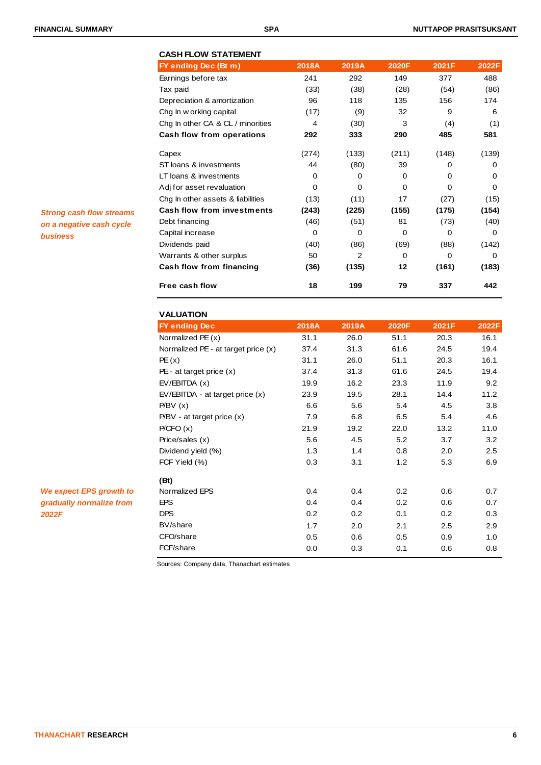| FY ending Dec (Bt m)              | 2018A    | 2019A    | <b>2020F</b> | 2021F    | 2022F    |
|-----------------------------------|----------|----------|--------------|----------|----------|
| Earnings before tax               | 241      | 292      | 149          | 377      | 488      |
| Tax paid                          | (33)     | (38)     | (28)         | (54)     | (86)     |
| Depreciation & amortization       | 96       | 118      | 135          | 156      | 174      |
| Chg In w orking capital           | (17)     | (9)      | 32           | 9        | 6        |
| Chg In other CA & CL / minorities | 4        | (30)     | 3            | (4)      | (1)      |
| Cash flow from operations         | 292      | 333      | 290          | 485      | 581      |
| Capex                             | (274)    | (133)    | (211)        | (148)    | (139)    |
| ST loans & investments            | 44       | (80)     | 39           | 0        | 0        |
| LT loans & investments            | 0        | $\Omega$ | $\Omega$     | $\Omega$ | $\Omega$ |
| Adj for asset revaluation         | $\Omega$ | $\Omega$ | $\Omega$     | $\Omega$ | 0        |
| Chg In other assets & liabilities | (13)     | (11)     | 17           | (27)     | (15)     |
| <b>Cash flow from investments</b> | (243)    | (225)    | (155)        | (175)    | (154)    |
| Debt financing                    | (46)     | (51)     | 81           | (73)     | (40)     |
| Capital increase                  | $\Omega$ | $\Omega$ | $\Omega$     | 0        | 0        |
| Dividends paid                    | (40)     | (86)     | (69)         | (88)     | (142)    |
| Warrants & other surplus          | 50       | 2        | $\Omega$     | $\Omega$ | 0        |
| Cash flow from financing          | (36)     | (135)    | 12           | (161)    | (183)    |
| Free cash flow                    | 18       | 199      | 79           | 337      | 442      |

**VALUATION FY ending Dec 2018A 2019A 2020F 2021F 2022F** Normalized PE (x) 31.1 26.0 51.1 20.3 16.1 Normalized PE - at target price (x) 37.4 31.3 61.6 24.5 19.4 PE (x) 31.1 26.0 51.1 20.3 16.1 PE - at target price (x) 37.4 31.3 61.6 24.5 19.4 EV/EBITDA (x) 19.9 16.2 23.3 11.9 9.2 EV/EBITDA - at target price  $(x)$  23.9 19.5 28.1 14.4 11.2 P/BV (x) 6.6 5.6 5.4 4.5 3.8 P/BV - at target price (x) 7.9 6.8 6.5 5.4 4.6 P/CFO (x) 21.9 19.2 22.0 13.2 11.0 Price/sales (x) 5.6 4.5 5.2 3.7 3.2 Dividend yield (%) 1.3 1.4 0.8 2.0 2.5 FCF Yield (%) 0.3 3.1 1.2 5.3 6.9 **(Bt)** Normalized EPS 0.4 0.4 0.2 0.6 0.7 EPS 0.4 0.4 0.2 0.6 0.7 DPS 0.2 0.2 0.1 0.2 0.3 BV/share 1.7 2.0 2.1 2.5 2.9 CFO/share 0.5 0.6 0.5 0.9 1.0 FCF/share 0.0 0.3 0.1 0.6 0.8

Sources: Company data, Thanachart estimates

*Strong cash flow streams on a negative cash cycle business*

*We expect EPS growth to gradually normalize from 2022F*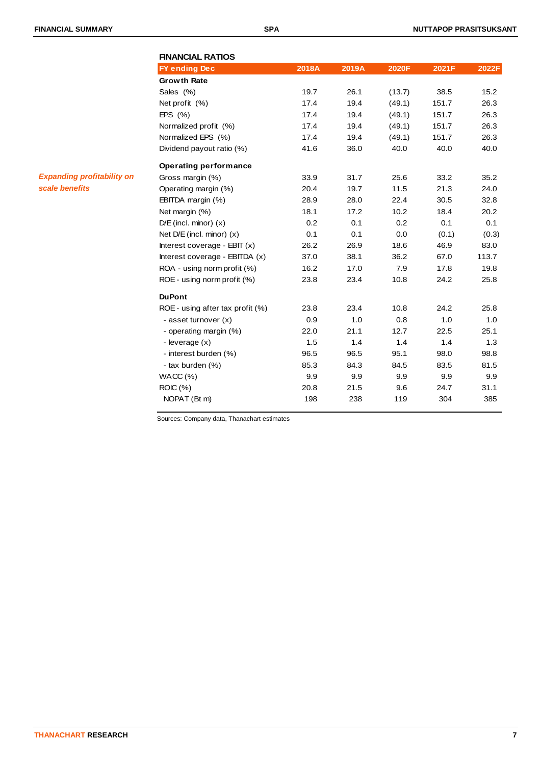| <b>FINANCIAL RATIOS</b>          |       |       |        |       |       |
|----------------------------------|-------|-------|--------|-------|-------|
| <b>FY ending Dec</b>             | 2018A | 2019A | 2020F  | 2021F | 2022F |
| <b>Growth Rate</b>               |       |       |        |       |       |
| Sales (%)                        | 19.7  | 26.1  | (13.7) | 38.5  | 15.2  |
| Net profit (%)                   | 17.4  | 19.4  | (49.1) | 151.7 | 26.3  |
| EPS $(% )$                       | 17.4  | 19.4  | (49.1) | 151.7 | 26.3  |
| Normalized profit (%)            | 17.4  | 19.4  | (49.1) | 151.7 | 26.3  |
| Normalized EPS (%)               | 17.4  | 19.4  | (49.1) | 151.7 | 26.3  |
| Dividend payout ratio (%)        | 41.6  | 36.0  | 40.0   | 40.0  | 40.0  |
| <b>Operating performance</b>     |       |       |        |       |       |
| Gross margin (%)                 | 33.9  | 31.7  | 25.6   | 33.2  | 35.2  |
| Operating margin (%)             | 20.4  | 19.7  | 11.5   | 21.3  | 24.0  |
| EBITDA margin (%)                | 28.9  | 28.0  | 22.4   | 30.5  | 32.8  |
| Net margin (%)                   | 18.1  | 17.2  | 10.2   | 18.4  | 20.2  |
| $D/E$ (incl. minor) $(x)$        | 0.2   | 0.1   | 0.2    | 0.1   | 0.1   |
| Net $D/E$ (incl. minor) $(x)$    | 0.1   | 0.1   | 0.0    | (0.1) | (0.3) |
| Interest coverage - $EBIT(x)$    | 26.2  | 26.9  | 18.6   | 46.9  | 83.0  |
| Interest coverage - EBITDA (x)   | 37.0  | 38.1  | 36.2   | 67.0  | 113.7 |
| ROA - using norm profit (%)      | 16.2  | 17.0  | 7.9    | 17.8  | 19.8  |
| ROE - using norm profit (%)      | 23.8  | 23.4  | 10.8   | 24.2  | 25.8  |
| <b>DuPont</b>                    |       |       |        |       |       |
| ROE - using after tax profit (%) | 23.8  | 23.4  | 10.8   | 24.2  | 25.8  |
| - asset turnover (x)             | 0.9   | 1.0   | 0.8    | 1.0   | 1.0   |
| - operating margin (%)           | 22.0  | 21.1  | 12.7   | 22.5  | 25.1  |
| - leverage (x)                   | 1.5   | 1.4   | 1.4    | 1.4   | 1.3   |
| - interest burden (%)            | 96.5  | 96.5  | 95.1   | 98.0  | 98.8  |
| - tax burden (%)                 | 85.3  | 84.3  | 84.5   | 83.5  | 81.5  |
| WACC(%)                          | 9.9   | 9.9   | 9.9    | 9.9   | 9.9   |
| ROIC (%)                         | 20.8  | 21.5  | 9.6    | 24.7  | 31.1  |
| NOPAT (Bt m)                     | 198   | 238   | 119    | 304   | 385   |

Sources: Company data, Thanachart estimates

### *Expanding profitability on scale benefits*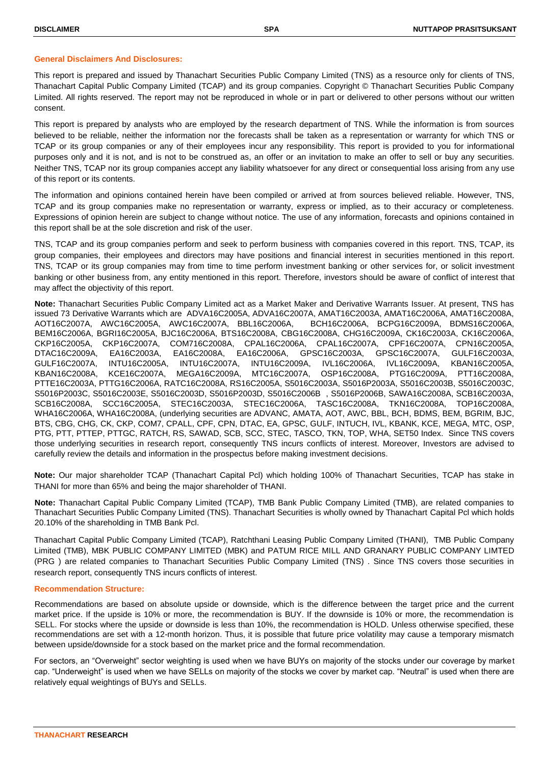### **General Disclaimers And Disclosures:**

This report is prepared and issued by Thanachart Securities Public Company Limited (TNS) as a resource only for clients of TNS, Thanachart Capital Public Company Limited (TCAP) and its group companies. Copyright © Thanachart Securities Public Company Limited. All rights reserved. The report may not be reproduced in whole or in part or delivered to other persons without our written consent.

This report is prepared by analysts who are employed by the research department of TNS. While the information is from sources believed to be reliable, neither the information nor the forecasts shall be taken as a representation or warranty for which TNS or TCAP or its group companies or any of their employees incur any responsibility. This report is provided to you for informational purposes only and it is not, and is not to be construed as, an offer or an invitation to make an offer to sell or buy any securities. Neither TNS, TCAP nor its group companies accept any liability whatsoever for any direct or consequential loss arising from any use of this report or its contents.

The information and opinions contained herein have been compiled or arrived at from sources believed reliable. However, TNS, TCAP and its group companies make no representation or warranty, express or implied, as to their accuracy or completeness. Expressions of opinion herein are subject to change without notice. The use of any information, forecasts and opinions contained in this report shall be at the sole discretion and risk of the user.

TNS, TCAP and its group companies perform and seek to perform business with companies covered in this report. TNS, TCAP, its group companies, their employees and directors may have positions and financial interest in securities mentioned in this report. TNS, TCAP or its group companies may from time to time perform investment banking or other services for, or solicit investment banking or other business from, any entity mentioned in this report. Therefore, investors should be aware of conflict of interest that may affect the objectivity of this report.

**Note:** Thanachart Securities Public Company Limited act as a Market Maker and Derivative Warrants Issuer. At present, TNS has issued 73 Derivative Warrants which are ADVA16C2005A, ADVA16C2007A, AMAT16C2003A, AMAT16C2006A, AMAT16C2008A, AOT16C2007A, AWC16C2005A, AWC16C2007A, BBL16C2006A, BCH16C2006A, BCPG16C2009A, BDMS16C2006A, BEM16C2006A, BGRI16C2005A, BJC16C2006A, BTS16C2008A, CBG16C2008A, CHG16C2009A, CK16C2003A, CK16C2006A, CKP16C2005A, CKP16C2007A, COM716C2008A, CPAL16C2006A, CPAL16C2007A, CPF16C2007A, CPN16C2005A, DTAC16C2009A, EA16C2003A, EA16C2008A, EA16C2006A, GPSC16C2003A, GPSC16C2007A, GULF16C2003A, GULF16C2007A, INTU16C2005A, INTU16C2007A, INTU16C2009A, IVL16C2006A, IVL16C2009A, KBAN16C2005A, KBAN16C2008A, KCE16C2007A, MEGA16C2009A, MTC16C2007A, OSP16C2008A, PTG16C2009A, PTT16C2008A, PTTE16C2003A, PTTG16C2006A, RATC16C2008A, RS16C2005A, S5016C2003A, S5016P2003A, S5016C2003B, S5016C2003C, S5016P2003C, S5016C2003E, S5016C2003D, S5016P2003D, S5016C2006B , S5016P2006B, SAWA16C2008A, SCB16C2003A, SCB16C2008A, SCC16C2005A, STEC16C2003A, STEC16C2006A, TASC16C2008A, TKN16C2008A, TOP16C2008A, WHA16C2006A, WHA16C2008A, (underlying securities are ADVANC, AMATA, AOT, AWC, BBL, BCH, BDMS, BEM, BGRIM, BJC, BTS, CBG, CHG, CK, CKP, COM7, CPALL, CPF, CPN, DTAC, EA, GPSC, GULF, INTUCH, IVL, KBANK, KCE, MEGA, MTC, OSP, PTG, PTT, PTTEP, PTTGC, RATCH, RS, SAWAD, SCB, SCC, STEC, TASCO, TKN, TOP, WHA, SET50 Index. Since TNS covers those underlying securities in research report, consequently TNS incurs conflicts of interest. Moreover, Investors are advised to carefully review the details and information in the prospectus before making investment decisions.

**Note:** Our major shareholder TCAP (Thanachart Capital Pcl) which holding 100% of Thanachart Securities, TCAP has stake in THANI for more than 65% and being the major shareholder of THANI.

**Note:** Thanachart Capital Public Company Limited (TCAP), TMB Bank Public Company Limited (TMB), are related companies to Thanachart Securities Public Company Limited (TNS). Thanachart Securities is wholly owned by Thanachart Capital Pcl which holds 20.10% of the shareholding in TMB Bank Pcl.

Thanachart Capital Public Company Limited (TCAP), Ratchthani Leasing Public Company Limited (THANI), TMB Public Company Limited (TMB), MBK PUBLIC COMPANY LIMITED (MBK) and PATUM RICE MILL AND GRANARY PUBLIC COMPANY LIMTED (PRG ) are related companies to Thanachart Securities Public Company Limited (TNS) . Since TNS covers those securities in research report, consequently TNS incurs conflicts of interest.

### **Recommendation Structure:**

Recommendations are based on absolute upside or downside, which is the difference between the target price and the current market price. If the upside is 10% or more, the recommendation is BUY. If the downside is 10% or more, the recommendation is SELL. For stocks where the upside or downside is less than 10%, the recommendation is HOLD. Unless otherwise specified, these recommendations are set with a 12-month horizon. Thus, it is possible that future price volatility may cause a temporary mismatch between upside/downside for a stock based on the market price and the formal recommendation.

For sectors, an "Overweight" sector weighting is used when we have BUYs on majority of the stocks under our coverage by market cap. "Underweight" is used when we have SELLs on majority of the stocks we cover by market cap. "Neutral" is used when there are relatively equal weightings of BUYs and SELLs.